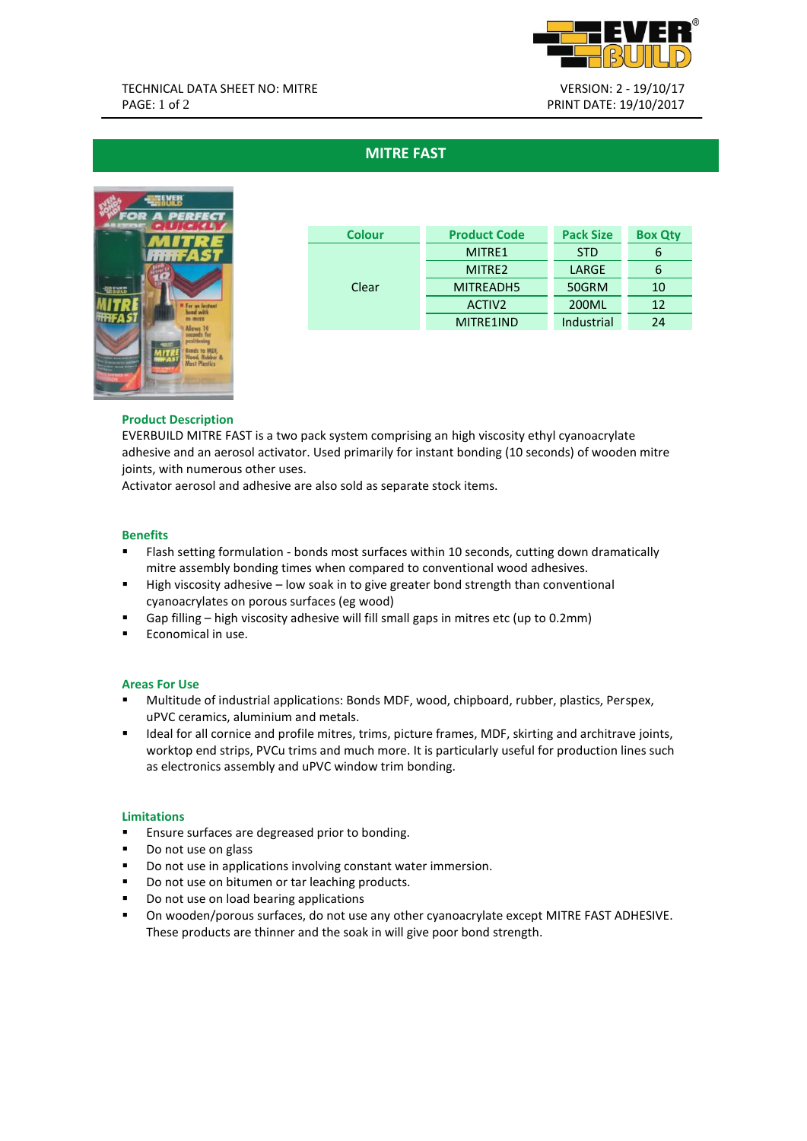

# **MITRE FAST**



| Colour | <b>Product Code</b> | <b>Pack Size</b> | <b>Box Qty</b> |
|--------|---------------------|------------------|----------------|
| Clear  | MITRE1              | <b>STD</b>       |                |
|        | MITRF <sub>2</sub>  | LARGE            |                |
|        | MITREADH5           | 50GRM            | 10             |
|        | ACTIV <sub>2</sub>  | 200ML            | 12             |
|        | MITRF1IND           | Industrial       | 24             |

# **Product Description**

EVERBUILD MITRE FAST is a two pack system comprising an high viscosity ethyl cyanoacrylate adhesive and an aerosol activator. Used primarily for instant bonding (10 seconds) of wooden mitre joints, with numerous other uses.

Activator aerosol and adhesive are also sold as separate stock items.

# **Benefits**

- Flash setting formulation bonds most surfaces within 10 seconds, cutting down dramatically mitre assembly bonding times when compared to conventional wood adhesives.
- High viscosity adhesive low soak in to give greater bond strength than conventional cyanoacrylates on porous surfaces (eg wood)
- Gap filling high viscosity adhesive will fill small gaps in mitres etc (up to 0.2mm)
- **Economical in use.**

# **Areas For Use**

- Multitude of industrial applications: Bonds MDF, wood, chipboard, rubber, plastics, Perspex, uPVC ceramics, aluminium and metals.
- **IDEAL FORM IDEAL FORM FORM FORM IDEAL FORM IDEAL FORM** IDEAL THE ISS IN IDEAL FORMS, INC. IS INCOLLED **IDEAL** FORM **IDEAL** FORM **IDEAL** FORM **IDEAL** FORM **IDEAL** FORM **IDEAL** FORM **IDEAL** FORM **IDEAL** FORM **IDEAL** FORM **I** worktop end strips, PVCu trims and much more. It is particularly useful for production lines such as electronics assembly and uPVC window trim bonding.

### **Limitations**

- **Ensure surfaces are degreased prior to bonding.**
- Do not use on glass
- **Do not use in applications involving constant water immersion.**
- Do not use on bitumen or tar leaching products.
- Do not use on load bearing applications
- On wooden/porous surfaces, do not use any other cyanoacrylate except MITRE FAST ADHESIVE. These products are thinner and the soak in will give poor bond strength.